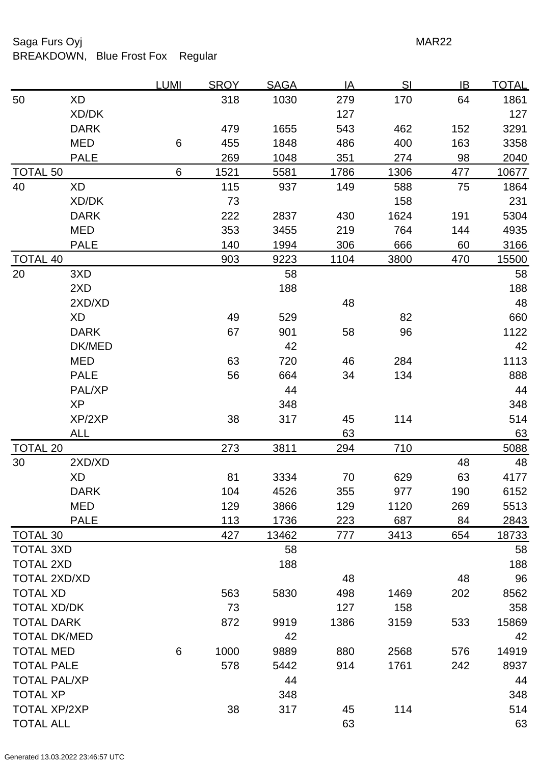## Saga Furs Oyj **MAR22**

# BREAKDOWN, Blue Frost Fox Regular

|                     |             | <u>LUMI</u> | <b>SROY</b> | <b>SAGA</b> | IA   | SI   | <u>IB</u> | <u>TOTAL</u> |
|---------------------|-------------|-------------|-------------|-------------|------|------|-----------|--------------|
| 50                  | <b>XD</b>   |             | 318         | 1030        | 279  | 170  | 64        | 1861         |
|                     | XD/DK       |             |             |             | 127  |      |           | 127          |
|                     | <b>DARK</b> |             | 479         | 1655        | 543  | 462  | 152       | 3291         |
|                     | <b>MED</b>  | 6           | 455         | 1848        | 486  | 400  | 163       | 3358         |
|                     | <b>PALE</b> |             | 269         | 1048        | 351  | 274  | 98        | 2040         |
| <b>TOTAL 50</b>     |             | 6           | 1521        | 5581        | 1786 | 1306 | 477       | 10677        |
| 40                  | XD          |             | 115         | 937         | 149  | 588  | 75        | 1864         |
|                     | XD/DK       |             | 73          |             |      | 158  |           | 231          |
|                     | <b>DARK</b> |             | 222         | 2837        | 430  | 1624 | 191       | 5304         |
|                     | <b>MED</b>  |             | 353         | 3455        | 219  | 764  | 144       | 4935         |
|                     | <b>PALE</b> |             | 140         | 1994        | 306  | 666  | 60        | 3166         |
| <b>TOTAL 40</b>     |             |             | 903         | 9223        | 1104 | 3800 | 470       | 15500        |
| 20                  | 3XD         |             |             | 58          |      |      |           | 58           |
|                     | 2XD         |             |             | 188         |      |      |           | 188          |
|                     | 2XD/XD      |             |             |             | 48   |      |           | 48           |
|                     | XD          |             | 49          | 529         |      | 82   |           | 660          |
|                     | <b>DARK</b> |             | 67          | 901         | 58   | 96   |           | 1122         |
|                     | DK/MED      |             |             | 42          |      |      |           | 42           |
|                     | <b>MED</b>  |             | 63          | 720         | 46   | 284  |           | 1113         |
|                     | <b>PALE</b> |             | 56          | 664         | 34   | 134  |           | 888          |
|                     | PAL/XP      |             |             | 44          |      |      |           | 44           |
|                     | <b>XP</b>   |             |             | 348         |      |      |           | 348          |
|                     | XP/2XP      |             | 38          | 317         | 45   | 114  |           | 514          |
|                     | <b>ALL</b>  |             |             |             | 63   |      |           | 63           |
| <b>TOTAL 20</b>     |             |             | 273         | 3811        | 294  | 710  |           | 5088         |
| 30                  | 2XD/XD      |             |             |             |      |      | 48        | 48           |
|                     | <b>XD</b>   |             | 81          | 3334        | 70   | 629  | 63        | 4177         |
|                     | <b>DARK</b> |             | 104         | 4526        | 355  | 977  | 190       | 6152         |
|                     | <b>MED</b>  |             | 129         | 3866        | 129  | 1120 | 269       | 5513         |
|                     | <b>PALE</b> |             | 113         | 1736        | 223  | 687  | 84        | 2843         |
| <b>TOTAL 30</b>     |             |             | 427         | 13462       | 777  | 3413 | 654       | 18733        |
| <b>TOTAL 3XD</b>    |             |             |             | 58          |      |      |           | 58           |
| <b>TOTAL 2XD</b>    |             |             |             | 188         |      |      |           | 188          |
| <b>TOTAL 2XD/XD</b> |             |             |             |             | 48   |      | 48        | 96           |
| <b>TOTAL XD</b>     |             |             | 563         | 5830        | 498  | 1469 | 202       | 8562         |
| <b>TOTAL XD/DK</b>  |             |             | 73          |             | 127  | 158  |           | 358          |
| <b>TOTAL DARK</b>   |             |             | 872         | 9919        | 1386 | 3159 | 533       | 15869        |
| <b>TOTAL DK/MED</b> |             |             |             | 42          |      |      |           | 42           |
| <b>TOTAL MED</b>    |             | 6           | 1000        | 9889        | 880  | 2568 | 576       | 14919        |
| <b>TOTAL PALE</b>   |             |             | 578         | 5442        | 914  | 1761 | 242       | 8937         |
| <b>TOTAL PAL/XP</b> |             |             |             | 44          |      |      |           | 44           |
| <b>TOTAL XP</b>     |             |             |             | 348         |      |      |           | 348          |
| <b>TOTAL XP/2XP</b> |             |             | 38          | 317         | 45   | 114  |           | 514          |
| <b>TOTAL ALL</b>    |             |             |             |             | 63   |      |           | 63           |